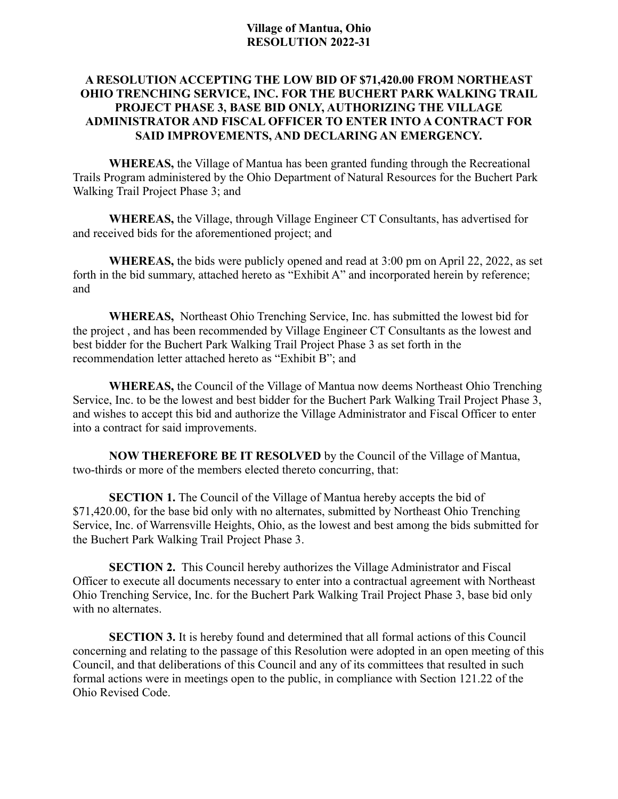## **Village of Mantua, Ohio RESOLUTION 2022-31**

## **A RESOLUTION ACCEPTING THE LOW BID OF \$71,420.00 FROM NORTHEAST OHIO TRENCHING SERVICE, INC. FOR THE BUCHERT PARK WALKING TRAIL PROJECT PHASE 3, BASE BID ONLY, AUTHORIZING THE VILLAGE ADMINISTRATOR AND FISCAL OFFICER TO ENTER INTO A CONTRACT FOR SAID IMPROVEMENTS, AND DECLARING AN EMERGENCY.**

**WHEREAS,** the Village of Mantua has been granted funding through the Recreational Trails Program administered by the Ohio Department of Natural Resources for the Buchert Park Walking Trail Project Phase 3; and

**WHEREAS,** the Village, through Village Engineer CT Consultants, has advertised for and received bids for the aforementioned project; and

**WHEREAS,** the bids were publicly opened and read at 3:00 pm on April 22, 2022, as set forth in the bid summary, attached hereto as "Exhibit A" and incorporated herein by reference; and

**WHEREAS,** Northeast Ohio Trenching Service, Inc. has submitted the lowest bid for the project , and has been recommended by Village Engineer CT Consultants as the lowest and best bidder for the Buchert Park Walking Trail Project Phase 3 as set forth in the recommendation letter attached hereto as "Exhibit B"; and

**WHEREAS,** the Council of the Village of Mantua now deems Northeast Ohio Trenching Service, Inc. to be the lowest and best bidder for the Buchert Park Walking Trail Project Phase 3, and wishes to accept this bid and authorize the Village Administrator and Fiscal Officer to enter into a contract for said improvements.

**NOW THEREFORE BE IT RESOLVED** by the Council of the Village of Mantua, two-thirds or more of the members elected thereto concurring, that:

**SECTION 1.** The Council of the Village of Mantua hereby accepts the bid of \$71,420.00, for the base bid only with no alternates, submitted by Northeast Ohio Trenching Service, Inc. of Warrensville Heights, Ohio, as the lowest and best among the bids submitted for the Buchert Park Walking Trail Project Phase 3.

**SECTION 2.** This Council hereby authorizes the Village Administrator and Fiscal Officer to execute all documents necessary to enter into a contractual agreement with Northeast Ohio Trenching Service, Inc. for the Buchert Park Walking Trail Project Phase 3, base bid only with no alternates.

**SECTION 3.** It is hereby found and determined that all formal actions of this Council concerning and relating to the passage of this Resolution were adopted in an open meeting of this Council, and that deliberations of this Council and any of its committees that resulted in such formal actions were in meetings open to the public, in compliance with Section 121.22 of the Ohio Revised Code.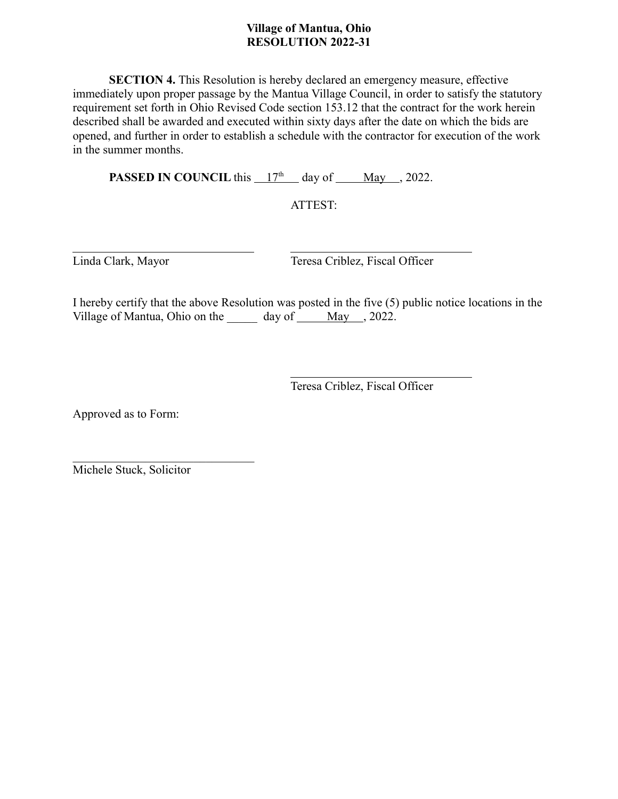## **Village of Mantua, Ohio RESOLUTION 2022-31**

**SECTION 4.** This Resolution is hereby declared an emergency measure, effective immediately upon proper passage by the Mantua Village Council, in order to satisfy the statutory requirement set forth in Ohio Revised Code section 153.12 that the contract for the work herein described shall be awarded and executed within sixty days after the date on which the bids are opened, and further in order to establish a schedule with the contractor for execution of the work in the summer months.

**PASSED IN COUNCIL** this  $17<sup>th</sup>$  day of <u>May , 2022</u>.

ATTEST:

 $\overline{a}$ 

Linda Clark, Mayor Teresa Criblez, Fiscal Officer

I hereby certify that the above Resolution was posted in the five (5) public notice locations in the Village of Mantua, Ohio on the  $\_\_\_\_$  day of  $\_\_\_\_$  May  $\_\_$ , 2022.

> $\overline{a}$ Teresa Criblez, Fiscal Officer

Approved as to Form:

Michele Stuck, Solicitor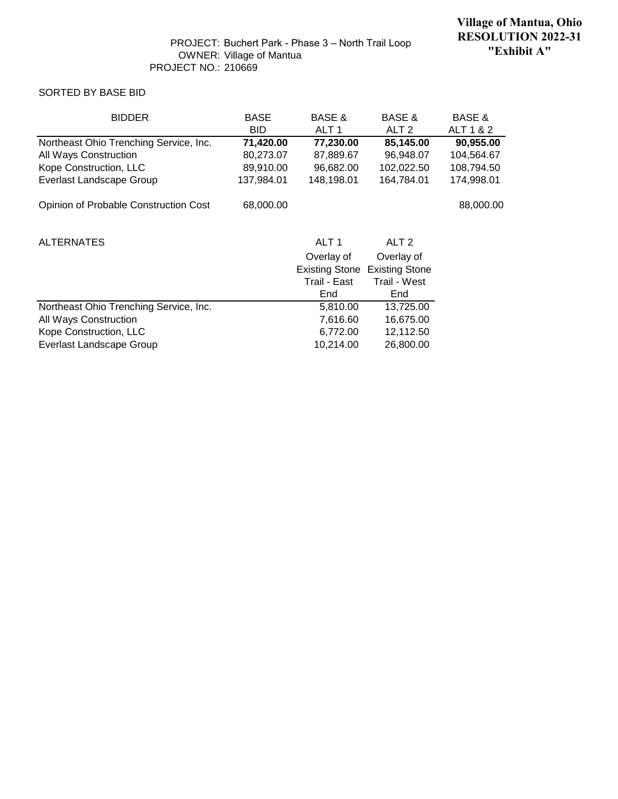#### SORTED BY BASE BID

| <b>BIDDER</b>                          | <b>BASE</b> | <b>BASE &amp;</b>     | <b>BASE &amp;</b>     | <b>BASE &amp;</b> |
|----------------------------------------|-------------|-----------------------|-----------------------|-------------------|
|                                        | <b>BID</b>  | ALT <sub>1</sub>      | ALT <sub>2</sub>      | ALT 1 & 2         |
| Northeast Ohio Trenching Service, Inc. | 71,420.00   | 77,230.00             | 85,145.00             | 90,955.00         |
| All Ways Construction                  | 80,273.07   | 87,889.67             | 96,948.07             | 104,564.67        |
| Kope Construction, LLC                 | 89,910.00   | 96,682.00             | 102,022.50            | 108,794.50        |
| <b>Everlast Landscape Group</b>        | 137,984.01  | 148,198.01            | 164,784.01            | 174,998.01        |
| Opinion of Probable Construction Cost  | 68,000.00   |                       |                       | 88,000.00         |
| <b>ALTERNATES</b>                      |             | ALT <sub>1</sub>      | ALT <sub>2</sub>      |                   |
|                                        |             | Overlay of            | Overlay of            |                   |
|                                        |             | <b>Existing Stone</b> | <b>Existing Stone</b> |                   |
|                                        |             | Trail - East          | Trail - West          |                   |
|                                        |             | End                   | End                   |                   |
| Northeast Ohio Trenching Service, Inc. |             | 5,810.00              | 13,725.00             |                   |
| All Ways Construction                  |             | 7,616.60              | 16,675.00             |                   |
| Kope Construction, LLC                 |             | 6,772.00              | 12,112.50             |                   |
| Everlast Landscape Group               |             | 10,214.00             | 26,800.00             |                   |